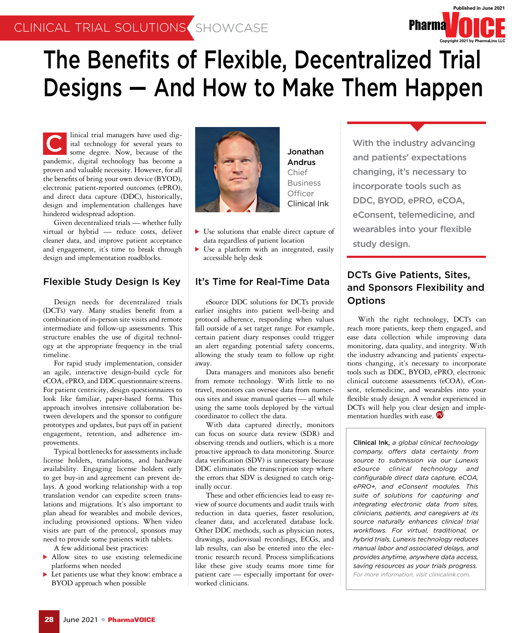

## The Benefits of Flexible, Decentralized Trial Designs — And How to Make Them Happen

linical trial managers have used digital technology for several years to some degree. Now, because of the pandemic, digital technology has become a proven and valuable necessity. However, for all the benefits of bring your own device (BYOD), electronic patient-reported outcomes (ePRO), and direct data capture (DDC), historically, design and implementation challenges have hindered widespread adoption. Inicial trial managers have used dig-<br>
some degree. Now, because of the **State of the State of the State of the State of the State of the State of the State of the State of the State of the State of the State of the State** 

Given decentralized trials — whether fully virtual or hybrid — reduce costs, deliver cleaner data, and improve patient acceptance and engagement, it's time to break through design and implementation roadblocks.

#### Flexible Study Design Is Key

Design needs for decentralized trials (DCTs) vary. Many studies benefit from a combination of in-person site visits and remote intermediate and follow-up assessments. This structure enables the use of digital technology at the appropriate frequency in the trial timeline.

For rapid study implementation, consider an agile, interactive design-build cycle for eCOA, ePRO, and DDC questionnaire screens. For patient centricity, design questionnaires to look like familiar, paper-based forms. This approach involves intensive collaboration between developers and the sponsor to configure prototypes and updates, but pays off in patient engagement, retention, and adherence improvements.

Typical bottlenecks for assessments include license holders, translations, and hardware availability. Engaging license holders early to get buy-in and agreement can prevent delays. A good working relationship with a top translation vendor can expedite screen translations and migrations. It's also important to plan ahead for wearables and mobile devices, including provisioned options. When video visits are part of the protocol, sponsors may need to provide some patients with tablets.

A few additional best practices:

- Allow sites to use existing telemedicine platforms when needed
- Let patients use what they know: embrace a BYOD approach when possible



Jonathan Andrus Chief Business **Officer** Clinical Ink

- Use solutions that enable direct capture of data regardless of patient location
- Use a platform with an integrated, easily accessible help desk

#### It's Time for Real-Time Data

eSource DDC solutions for DCTs provide earlier insights into patient well-being and protocol adherence, responding when values fall outside of a set target range. For example, certain patient diary responses could trigger an alert regarding potential safety concerns, allowing the study team to follow up right away.

Data managers and monitors also benefit from remote technology. With little to no travel, monitors can oversee data from numerous sites and issue manual queries — all while using the same tools deployed by the virtual coordinator to collect the data.

With data captured directly, monitors can focus on source data review (SDR) and observing trends and outliers, which is a more proactive approach to data monitoring. Source data verification (SDV) is unnecessary because DDC eliminates the transcription step where the errors that SDV is designed to catch originally occur.

These and other efficiencies lead to easy review of source documents and audit trails with reduction in data queries, faster resolution, cleaner data, and accelerated database lock. Other DDC methods, such as physician notes, drawings, audiovisual recordings, ECGs, and lab results, can also be entered into the electronic research record. Process simplifications like these give study teams more time for patient care — especially important for overworked clinicians.

and patients' expectations changing, it's necessary to incorporate tools such as DDC, BYOD, ePRO, eCOA, eConsent, telemedicine, and wearables into your flexible study design.

### DCTs Give Patients, Sites, and Sponsors Flexibility and **Options**

With the right technology, DCTs can reach more patients, keep them engaged, and ease data collection while improving data monitoring, data quality, and integrity. With the industry advancing and patients' expectations changing, it's necessary to incorporate tools such as DDC, BYOD, ePRO, electronic clinical outcome assessments (eCOA), eConsent, telemedicine, and wearables into your flexible study design. A vendor experienced in DCTs will help you clear design and implementation hurdles with ease.

Clinical Ink, *a global clinical technology company, offers data certainty from source to submission via our Lunexis eSource clinical technology and configurable direct data capture, eCOA, ePRO+, and eConsent modules. This suite of solutions for capturing and integrating electronic data from sites, clinicians, patients, and caregivers at its source naturally enhances clinical trial workflows. For virtual, traditional, or hybrid trials, Lunexis technology reduces manual labor and associated delays, and provides anytime, anywhere data access, saving resources as your trials progress. For more information, visit clinicalink.com.*